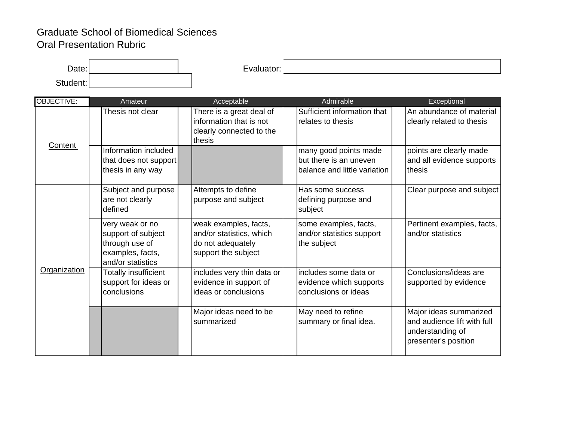## Graduate School of Biomedical Sciences Oral Presentation Rubric

| $\bm{\mathsf{Date}}$ : $\bm{\mathsf{I}}$ | $\overline{\phantom{0}}$ |  |
|------------------------------------------|--------------------------|--|
| $\sim$                                   |                          |  |

| <b>OBJECTIVE:</b> | Amateur                                                                                          | Acceptable                                                                                    | Admirable                                                                       | Exceptional                                                                                       |
|-------------------|--------------------------------------------------------------------------------------------------|-----------------------------------------------------------------------------------------------|---------------------------------------------------------------------------------|---------------------------------------------------------------------------------------------------|
| <b>Content</b>    | Thesis not clear                                                                                 | There is a great deal of<br>information that is not<br>clearly connected to the<br>thesis     | Sufficient information that<br>relates to thesis                                | An abundance of material<br>clearly related to thesis                                             |
|                   | Information included<br>that does not support<br>thesis in any way                               |                                                                                               | many good points made<br>but there is an uneven<br>balance and little variation | points are clearly made<br>and all evidence supports<br>thesis                                    |
| Organization      | Subject and purpose<br>are not clearly<br>defined                                                | Attempts to define<br>purpose and subject                                                     | Has some success<br>defining purpose and<br>subject                             | Clear purpose and subject                                                                         |
|                   | very weak or no<br>support of subject<br>through use of<br>examples, facts,<br>and/or statistics | weak examples, facts,<br>and/or statistics, which<br>do not adequately<br>support the subject | some examples, facts,<br>and/or statistics support<br>the subject               | Pertinent examples, facts,<br>and/or statistics                                                   |
|                   | Totally insufficient<br>support for ideas or<br>conclusions                                      | includes very thin data or<br>evidence in support of<br>ideas or conclusions                  | includes some data or<br>evidence which supports<br>conclusions or ideas        | Conclusions/ideas are<br>supported by evidence                                                    |
|                   |                                                                                                  | Major ideas need to be<br>summarized                                                          | May need to refine<br>summary or final idea.                                    | Major ideas summarized<br>and audience lift with full<br>understanding of<br>presenter's position |